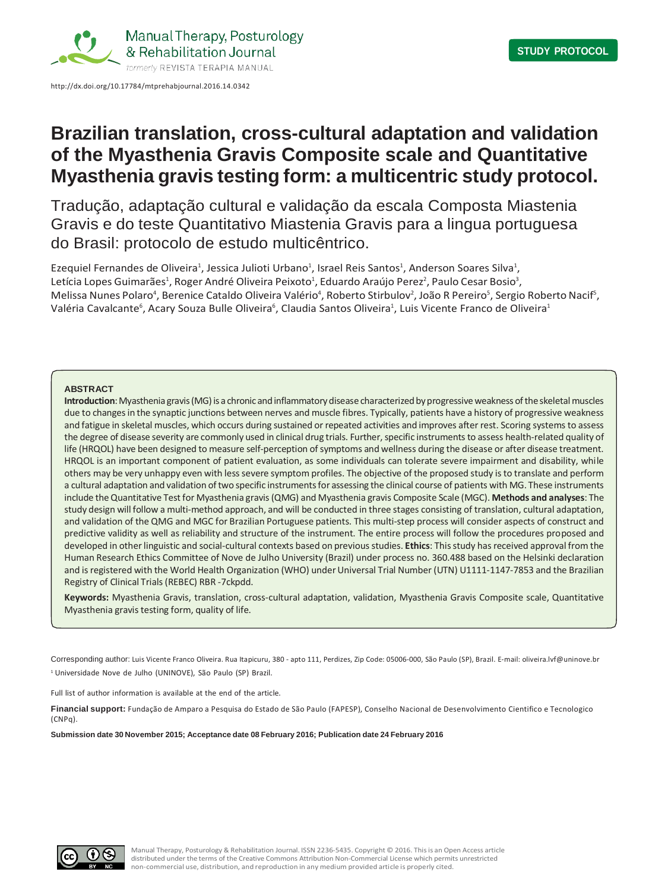

# **Brazilian translation, cross-cultural adaptation and validation of the Myasthenia Gravis Composite scale and Quantitative Myasthenia gravis testing form: a multicentric study protocol.**

Tradução, adaptação cultural e validação da escala Composta Miastenia Gravis e do teste Quantitativo Miastenia Gravis para a lingua portuguesa do Brasil: protocolo de estudo multicêntrico.

Ezequiel Fernandes de Oliveira<sup>1</sup>, Jessica Julioti Urbano<sup>1</sup>, Israel Reis Santos<sup>1</sup>, Anderson Soares Silva<sup>1</sup>, Letícia Lopes Guimarães<sup>1</sup>, Roger André Oliveira Peixoto<sup>1</sup>, Eduardo Araújo Perez<sup>2</sup>, Paulo Cesar Bosio<sup>3</sup>, Melissa Nunes Polaro<sup>4</sup>, Berenice Cataldo Oliveira Valério<sup>4</sup>, Roberto Stirbulov<sup>2</sup>, João R Pereiro<sup>5</sup>, Sergio Roberto Nacif<sup>5</sup>, Valéria Cavalcante<sup>6</sup>, Acary Souza Bulle Oliveira<sup>6</sup>, Claudia Santos Oliveira<sup>1</sup>, Luis Vicente Franco de Oliveira<sup>1</sup>

## **ABSTRACT**

**Introduction**: Myasthenia gravis (MG) is a chronic and inflammatory disease characterized by progressive weakness of the skeletal muscles due to changesin the synaptic junctions between nerves and muscle fibres. Typically, patients have a history of progressive weakness and fatigue in skeletal muscles, which occurs during sustained or repeated activities and improves after rest. Scoring systemsto assess the degree of disease severity are commonly used in clinical drug trials. Further, specific instruments to assess health-related quality of life (HRQOL) have been designed to measure self-perception of symptoms and wellness during the disease or after disease treatment. HRQOL is an important component of patient evaluation, as some individuals can tolerate severe impairment and disability, while others may be very unhappy even with less severe symptom profiles. The objective of the proposed study is to translate and perform a cultural adaptation and validation of two specific instrumentsfor assessing the clinical course of patients with MG. These instruments include theQuantitative Testfor Myasthenia gravis(QMG) and Myasthenia gravis Composite Scale (MGC). **Methods and analyses**: The study design will follow a multi-method approach, and will be conducted in three stages consisting of translation, cultural adaptation, and validation of the QMG and MGC for Brazilian Portuguese patients. This multi-step process will consider aspects of construct and predictive validity as well as reliability and structure of the instrument. The entire process will follow the procedures proposed and developed in other linguistic and social-cultural contexts based on previous studies. **Ethics**: This study has received approval from the Human Research Ethics Committee of Nove de Julho University (Brazil) under process no. 360.488 based on the Helsinki declaration and is registered with the World Health Organization (WHO) under Universal Trial Number (UTN) U1111-1147-7853 and the Brazilian Registry of Clinical Trials(REBEC) RBR -7ckpdd.

**Keywords:** Myasthenia Gravis, translation, cross-cultural adaptation, validation, Myasthenia Gravis Composite scale, Quantitative Myasthenia gravis testing form, quality of life.

Corresponding author: Luis Vicente Franco Oliveira. Rua Itapicuru, 380 - apto 111, Perdizes, Zip Code: 05006-000, São Paulo (SP), Brazil. E-mail[: oliveira.lvf@uninove.br](mailto:oliveira.lvf@uninove.br) <sup>1</sup> Universidade Nove de Julho (UNINOVE), São Paulo (SP) Brazil.

Full list of author information is available at the end of the article.

**Financial support:** Fundação de Amparo a Pesquisa do Estado de São Paulo (FAPESP), Conselho Nacional de Desenvolvimento Cientifico e Tecnologico (CNPq).

**Submission date 30 November 2015; Acceptance date 08 February 2016; Publication date 24 February 2016**

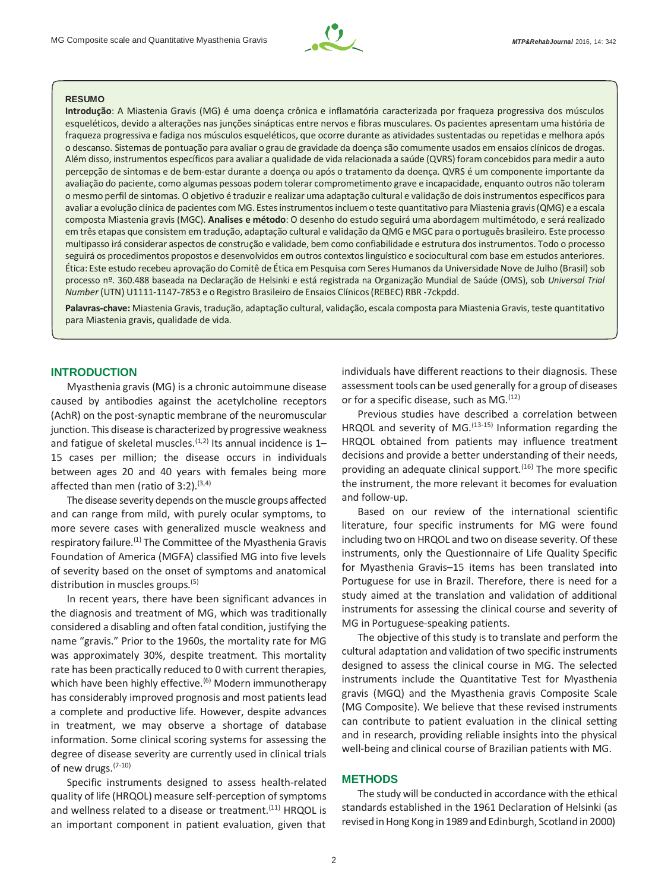

# **RESUMO**

**Introdução**: A Miastenia Gravis (MG) é uma doença crônica e inflamatória caracterizada por fraqueza progressiva dos músculos esqueléticos, devido a alterações nas junções sinápticas entre nervos e fibras musculares. Os pacientes apresentam uma história de fraqueza progressiva e fadiga nos músculos esqueléticos, que ocorre durante as atividades sustentadas ou repetidas e melhora após o descanso. Sistemas de pontuação para avaliar o grau de gravidade da doença são comumente usados em ensaios clínicos de drogas. Além disso, instrumentos específicos para avaliar a qualidade de vida relacionada a saúde (QVRS) foram concebidos para medir a auto percepção de sintomas e de bem-estar durante a doença ou após o tratamento da doença. QVRS é um componente importante da avaliação do paciente, como algumas pessoas podem tolerar comprometimento grave e incapacidade, enquanto outros não toleram o mesmo perfil de sintomas. O objetivo é traduzir e realizar uma adaptação cultural e validação de doisinstrumentos específicos para avaliar a evolução clínica de pacientes com MG. Estesinstrumentosincluemo teste quantitativo para Miastenia gravis(QMG) e a escala composta Miastenia gravis (MGC). **Analises e método**: O desenho do estudo seguirá uma abordagem multimétodo, e será realizado em três etapas que consistem em tradução, adaptação cultural e validação daQMG e MGC para o português brasileiro. Este processo multipasso irá considerar aspectos de construção e validade, bem como confiabilidade e estrutura dosinstrumentos. Todo o processo seguirá os procedimentos propostos e desenvolvidos em outros contextoslinguístico e sociocultural com base em estudos anteriores. Ética: Este estudo recebeu aprovação do Comitê de Ética em Pesquisa com Seres Humanos da Universidade Nove de Julho (Brasil) sob processo nº. 360.488 baseada na Declaração de Helsinki e está registrada na Organização Mundial de Saúde (OMS), sob *Universal Trial Number* (UTN) U1111-1147-7853 e o Registro Brasileiro de Ensaios Clínicos(REBEC) RBR -7ckpdd.

**Palavras-chave:** Miastenia Gravis, tradução, adaptação cultural, validação, escala composta para Miastenia Gravis, teste quantitativo para Miastenia gravis, qualidade de vida.

# **INTRODUCTION**

Myasthenia gravis (MG) is a chronic autoimmune disease caused by antibodies against the acetylcholine receptors (AchR) on the post-synaptic membrane of the neuromuscular junction. This disease is characterized by progressive weakness and fatigue of skeletal muscles.<sup> $(1,2)$ </sup> Its annual incidence is 1– 15 cases per million; the disease occurs in individuals between ages 20 and 40 years with females being more affected than men (ratio of  $3:2$ ).<sup>(3,4)</sup>

The disease severity depends on the muscle groups affected and can range from mild, with purely ocular symptoms, to more severe cases with generalized muscle weakness and respiratory failure.<sup>(1)</sup> The Committee of the Myasthenia Gravis Foundation of America (MGFA) classified MG into five levels of severity based on the onset of symptoms and anatomical distribution in muscles groups.<sup>(5)</sup>

In recent years, there have been significant advances in the diagnosis and treatment of MG, which was traditionally considered a disabling and often fatal condition, justifying the name "gravis." Prior to the 1960s, the mortality rate for MG was approximately 30%, despite treatment. This mortality rate has been practically reduced to 0 with current therapies, which have been highly effective.<sup>(6)</sup> Modern immunotherapy has considerably improved prognosis and most patients lead a complete and productive life. However, despite advances in treatment, we may observe a shortage of database information. Some clinical scoring systems for assessing the degree of disease severity are currently used in clinical trials of new drugs.(7-10)

Specific instruments designed to assess health-related quality of life (HRQOL) measure self-perception of symptoms and wellness related to a disease or treatment.<sup>(11)</sup> HRQOL is an important component in patient evaluation, given that

individuals have different reactions to their diagnosis. These assessment tools can be used generally for a group of diseases or for a specific disease, such as  $MG<sub>12</sub>$ 

Previous studies have described a correlation between HRQOL and severity of MG. $(13-15)$  Information regarding the HRQOL obtained from patients may influence treatment decisions and provide a better understanding of their needs, providing an adequate clinical support.<sup> $(16)$ </sup> The more specific the instrument, the more relevant it becomes for evaluation and follow-up.

Based on our review of the international scientific literature, four specific instruments for MG were found including two on HRQOL and two on disease severity. Of these instruments, only the Questionnaire of Life Quality Specific for Myasthenia Gravis–15 items has been translated into Portuguese for use in Brazil. Therefore, there is need for a study aimed at the translation and validation of additional instruments for assessing the clinical course and severity of MG in Portuguese-speaking patients.

The objective of this study is to translate and perform the cultural adaptation and validation of two specific instruments designed to assess the clinical course in MG. The selected instruments include the Quantitative Test for Myasthenia gravis (MGQ) and the Myasthenia gravis Composite Scale (MG Composite). We believe that these revised instruments can contribute to patient evaluation in the clinical setting and in research, providing reliable insights into the physical well-being and clinical course of Brazilian patients with MG.

# **METHODS**

The study will be conducted in accordance with the ethical standards established in the 1961 Declaration of Helsinki (as revisedinHong Kong in 1989 and Edinburgh, Scotland in 2000)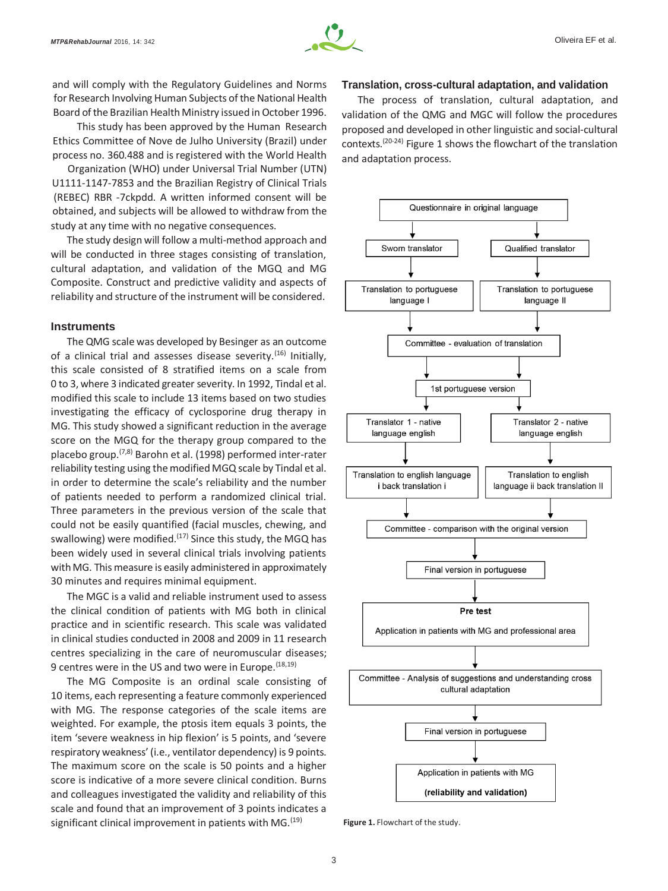

and will comply with the Regulatory Guidelines and Norms for Research Involving Human Subjects of the National Health Board of the Brazilian Health Ministry issued in October 1996.

This study has been approved by the Human Research Ethics Committee of Nove de Julho University (Brazil) under process no. 360.488 and is registered with the World Health

Organization (WHO) under Universal Trial Number (UTN) U1111-1147-7853 and the Brazilian Registry of Clinical Trials (REBEC) RBR -7ckpdd. A written informed consent will be obtained, and subjects will be allowed to withdraw from the study at any time with no negative consequences.

The study design will follow a multi-method approach and will be conducted in three stages consisting of translation. cultural adaptation, and validation of the MGQ and MG Composite. Construct and predictive validity and aspects of reliability and structure of the instrument will be considered.

# **Instruments**

The QMG scale was developed by Besinger as an outcome of a clinical trial and assesses disease severity.<sup>(16)</sup> Initially, this scale consisted of 8 stratified items on a scale from 0 to 3, where 3 indicated greater severity. In 1992, Tindal et al. modified this scale to include 13 items based on two studies investigating the efficacy of cyclosporine drug therapy in MG. This study showed a significant reduction in the average score on the MGQ for the therapy group compared to the placebo group.(7,8) Barohn et al. (1998) performed inter-rater reliability testing using the modified MGQ scale by Tindal et al. in order to determine the scale's reliability and the number of patients needed to perform a randomized clinical trial. Three parameters in the previous version of the scale that could not be easily quantified (facial muscles, chewing, and swallowing) were modified.<sup>(17)</sup> Since this study, the MGQ has been widely used in several clinical trials involving patients with MG. This measure is easily administered in approximately 30 minutes and requires minimal equipment.

The MGC is a valid and reliable instrument used to assess the clinical condition of patients with MG both in clinical practice and in scientific research. This scale was validated in clinical studies conducted in 2008 and 2009 in 11 research centres specializing in the care of neuromuscular diseases; 9 centres were in the US and two were in Europe. (18,19)

The MG Composite is an ordinal scale consisting of 10 items, each representing a feature commonly experienced with MG. The response categories of the scale items are weighted. For example, the ptosis item equals 3 points, the item 'severe weakness in hip flexion' is 5 points, and 'severe respiratory weakness' (i.e., ventilator dependency) is 9 points. The maximum score on the scale is 50 points and a higher score is indicative of a more severe clinical condition. Burns and colleagues investigated the validity and reliability of this scale and found that an improvement of 3 points indicates a significant clinical improvement in patients with  $MG.$ <sup>(19)</sup>

#### **Translation, cross-cultural adaptation, and validation**

The process of translation, cultural adaptation, and validation of the QMG and MGC will follow the procedures proposed and developed in other linguistic and social-cultural contexts.(20-24) Figure 1 shows the flowchart of the translation and adaptation process.



**Figure 1.** Flowchart of the study.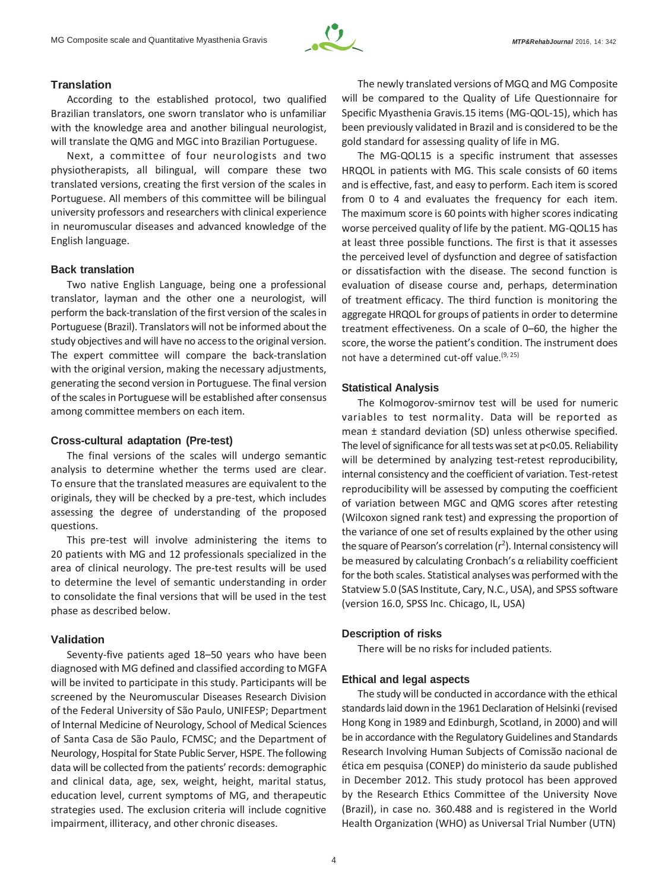

# **Translation**

According to the established protocol, two qualified Brazilian translators, one sworn translator who is unfamiliar with the knowledge area and another bilingual neurologist, will translate the QMG and MGC into Brazilian Portuguese.

Next, a committee of four neurologists and two physiotherapists, all bilingual, will compare these two translated versions, creating the first version of the scales in Portuguese. All members of this committee will be bilingual university professors and researchers with clinical experience in neuromuscular diseases and advanced knowledge of the English language.

# **Back translation**

Two native English Language, being one a professional translator, layman and the other one a neurologist, will perform the back-translation of the first version of the scalesin Portuguese (Brazil). Translators will not be informed about the study objectives and will have no accessto the original version. The expert committee will compare the back-translation with the original version, making the necessary adjustments, generating the second version in Portuguese. The final version of the scales in Portuguese will be established after consensus among committee members on each item.

# **Cross-cultural adaptation (Pre-test)**

The final versions of the scales will undergo semantic analysis to determine whether the terms used are clear. To ensure that the translated measures are equivalent to the originals, they will be checked by a pre-test, which includes assessing the degree of understanding of the proposed questions.

This pre-test will involve administering the items to 20 patients with MG and 12 professionals specialized in the area of clinical neurology. The pre-test results will be used to determine the level of semantic understanding in order to consolidate the final versions that will be used in the test phase as described below.

# **Validation**

Seventy-five patients aged 18–50 years who have been diagnosed with MG defined and classified according to MGFA will be invited to participate in this study. Participants will be screened by the Neuromuscular Diseases Research Division of the Federal University of São Paulo, UNIFESP; Department of Internal Medicine of Neurology, School of Medical Sciences of Santa Casa de São Paulo, FCMSC; and the Department of Neurology, Hospital for State Public Server, HSPE. The following data will be collected from the patients'records: demographic and clinical data, age, sex, weight, height, marital status, education level, current symptoms of MG, and therapeutic strategies used. The exclusion criteria will include cognitive impairment, illiteracy, and other chronic diseases.

The newly translated versions of MGQ and MG Composite will be compared to the Quality of Life Questionnaire for Specific Myasthenia Gravis.15 items (MG-QOL-15), which has been previously validated in Brazil and is considered to be the gold standard for assessing quality of life in MG.

The MG-QOL15 is a specific instrument that assesses HRQOL in patients with MG. This scale consists of 60 items and is effective, fast, and easy to perform. Each item is scored from 0 to 4 and evaluates the frequency for each item. The maximum score is 60 points with higher scores indicating worse perceived quality of life by the patient. MG-QOL15 has at least three possible functions. The first is that it assesses the perceived level of dysfunction and degree of satisfaction or dissatisfaction with the disease. The second function is evaluation of disease course and, perhaps, determination of treatment efficacy. The third function is monitoring the aggregate HRQOL for groups of patients in order to determine treatment effectiveness. On a scale of 0–60, the higher the score, the worse the patient's condition. The instrument does not have a determined cut-off value.(9, 25)

# **Statistical Analysis**

The Kolmogorov-smirnov test will be used for numeric variables to test normality. Data will be reported as mean ± standard deviation (SD) unless otherwise specified. The level of significance for all tests was set at p<0.05. Reliability will be determined by analyzing test-retest reproducibility, internal consistency and the coefficient of variation. Test-retest reproducibility will be assessed by computing the coefficient of variation between MGC and QMG scores after retesting (Wilcoxon signed rank test) and expressing the proportion of the variance of one set of results explained by the other using the square of Pearson's correlation  $(r^2)$ . Internal consistency will be measured by calculating Cronbach's α reliability coefficient for the both scales. Statistical analyseswas performed with the Statview 5.0 (SAS Institute, Cary, N.C., USA), and SPSS software (version 16.0, SPSS Inc. Chicago, IL, USA)

# **Description of risks**

There will be no risks for included patients.

#### **Ethical and legal aspects**

The study will be conducted in accordance with the ethical standards laid down in the 1961 Declaration of Helsinki (revised Hong Kong in 1989 and Edinburgh, Scotland, in 2000) and will be in accordance with the Regulatory Guidelines and Standards Research Involving Human Subjects of Comissão nacional de ética em pesquisa (CONEP) do ministerio da saude published in December 2012. This study protocol has been approved by the Research Ethics Committee of the University Nove (Brazil), in case no. 360.488 and is registered in the World Health Organization (WHO) as Universal Trial Number (UTN)